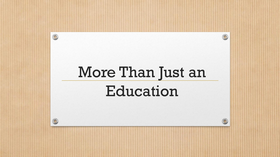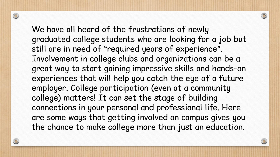We have all heard of the frustrations of newly graduated college students who are looking for a job but still are in need of "required years of experience". Involvement in college clubs and organizations can be a great way to start gaining impressive skills and hands-on experiences that will help you catch the eye of a future employer. College participation (even at a community college) matters! It can set the stage of building connections in your personal and professional life. Here are some ways that getting involved on campus gives you the chance to make college more than just an education.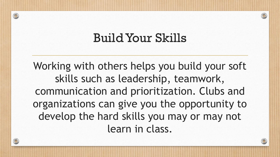### Build Your Skills

Working with others helps you build your soft skills such as leadership, teamwork, communication and prioritization. Clubs and organizations can give you the opportunity to develop the hard skills you may or may not learn in class.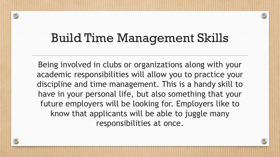### Build Time Management Skills

 $\circledcirc$ 

Being involved in clubs or organizations along with your academic responsibilities will allow you to practice your discipline and time management. This is a handy skill to have in your personal life, but also something that your future employers will be looking for. Employers like to know that applicants will be able to juggle many responsibilities at once.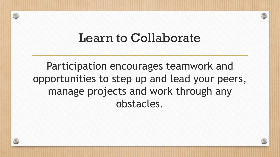#### Learn to Collaborate

Participation encourages teamwork and opportunities to step up and lead your peers, manage projects and work through any obstacles.

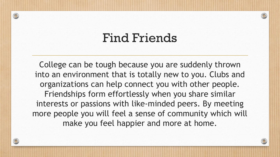### Find Friends

 $\circledcirc$ 

College can be tough because you are suddenly thrown into an environment that is totally new to you. Clubs and organizations can help connect you with other people. Friendships form effortlessly when you share similar interests or passions with like-minded peers. By meeting more people you will feel a sense of community which will make you feel happier and more at home.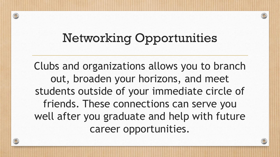## Networking Opportunities

 $\circledcirc$ 

Clubs and organizations allows you to branch out, broaden your horizons, and meet students outside of your immediate circle of friends. These connections can serve you well after you graduate and help with future career opportunities.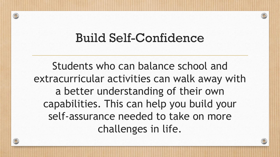### Build Self-Confidence

Students who can balance school and extracurricular activities can walk away with a better understanding of their own capabilities. This can help you build your self-assurance needed to take on more challenges in life.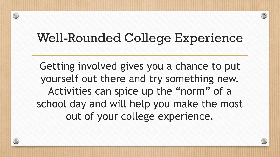### Well-Rounded College Experience

Getting involved gives you a chance to put yourself out there and try something new. Activities can spice up the "norm" of a school day and will help you make the most out of your college experience.

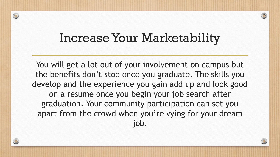### Increase Your Marketability

 $\circledcirc$ 

You will get a lot out of your involvement on campus but the benefits don't stop once you graduate. The skills you develop and the experience you gain add up and look good on a resume once you begin your job search after graduation. Your community participation can set you apart from the crowd when you're vying for your dream job.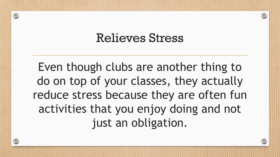#### Relieves Stress

Even though clubs are another thing to do on top of your classes, they actually reduce stress because they are often fun activities that you enjoy doing and not just an obligation.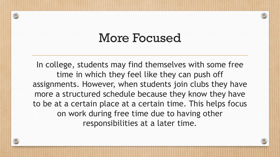### More Focused

 $\circledcirc$ 

In college, students may find themselves with some free time in which they feel like they can push off assignments. However, when students join clubs they have more a structured schedule because they know they have to be at a certain place at a certain time. This helps focus on work during free time due to having other responsibilities at a later time.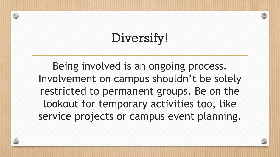# Diversify!

Being involved is an ongoing process. Involvement on campus shouldn't be solely restricted to permanent groups. Be on the lookout for temporary activities too, like service projects or campus event planning.